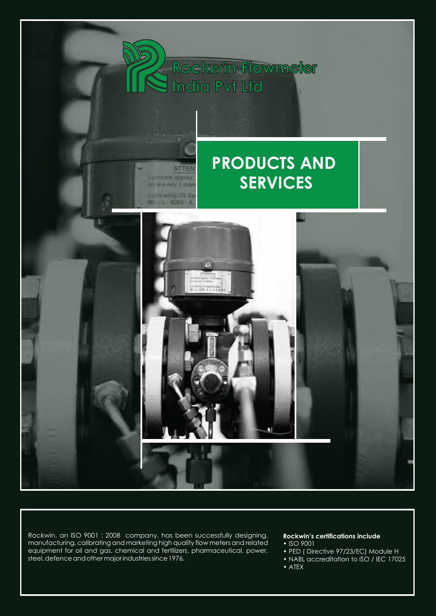

Rockwin, an ISO 9001 : 2008 company, has been successfully designing, manufacturing, calibrating and marketing high quality flow meters and related equipment for oil and gas, chemical and fertilizers, pharmaceutical, power, steel, defence and other major industries since 1976.

## **Rockwin's certifications include**

- ISO 9001
- PED ( Directive 97/23/EC) Module H
- NABL accreditation to ISO / IEC 17025
- ATEX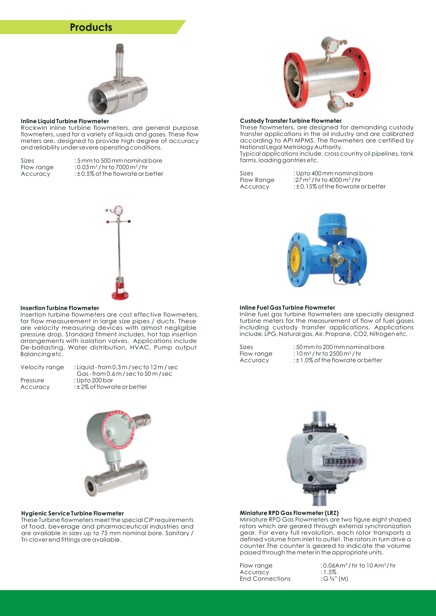## **Products**



#### **Inline Liquid Turbine Flowmeter**

Rockwin inline turbine flowmeters, are general purpose flowmeters, used for a variety of liquids and gases. These flow meters are, designed to provide high degree of accuracy and reliability under severe operating conditions.

Sizes  $: 5$  mm to 500 mm nominal bore<br>Flow range  $: 0.03 \text{ m}^3/\text{hr}$  to 7000 m<sup>3</sup>/hr Flow range  $: 0.03 \text{ m}^3/\text{hr}$  to 7000 m<sup>3</sup>/hr<br>Accuracy  $: \pm 0.5\%$  of the flowrate or b : ± 0.5% of the flowrate or better



#### **Custody Transfer Turbine Flowmeter**

These flowmeters, are designed for demanding custody transfer applications in the oil industry and are calibrated according to API MPMS. The flowmeters are certified by National Legal Metrology Authority.

Typical applications include, cross country oil pipelines, tank farms, loading gantries etc.

Sizes : Upto 400 mm nominal bore<br>Flow Range :27 m<sup>3</sup>/hr to 4000 m<sup>3</sup>/hr Flow Range  $:27 \text{ m}^3/\text{hr}$  to 4000 m<sup>3</sup>/hr<br>Accuracy  $:±0.15\%$  of the flowrate : ± 0.15% of the flowrate or better



### **Inline Fuel Gas Turbine Flowmeter**

Inline fuel gas turbine flowmeters are specially designed turbine meters for the measurement of flow of fuel gases including custody transfer applications. Applications include, LPG, Natural gas, Air, Propane, CO2, Nitrogen etc.

Sizes  $: 50 \text{ mm}$  to 200 mm nominal bore<br>Flow range  $: 10 \text{ m}^3/\text{hr}$  to  $2500 \text{ m}^3/\text{hr}$ :  $10 m<sup>3</sup>$  / hr to 2500 m<sup>3</sup> / hr Accuracy :±1.0% of the flowrate or better





#### **Miniature RPD Gas Flowmeter (LRZ)**

Miniature RPD Gas Flowmeters are two figure eight shaped rotors which are geared through external synchronization gear. For every full revolution, each rotor transports a defined volume from inlet to outlet. The rotors in turn drive a counter.The counter is geared to indicate the volume passed through the meter in the appropriate units.

Accuracy : 1.5%<br>End Connections : G<sup>3</sup>/4" (M) End Connections

Flow range  $\frac{10.06 \text{A m}^3}{\text{A}}$  : 0.06Am<sup>3</sup>/hr to 10 Am<sup>3</sup>/hr



#### **Insertion Turbine Flowmeter**

Insertion turbine flowmeters are cost effective flowmeters, for flow measurement in large size pipes / ducts. These are velocity measuring devices with almost negligible pressure drop. Standard fitment includes, hot tap insertion arrangements with isolation valves. Applications include De-ballasting, Water distribution, HVAC, Pump output Balancing etc.

| Velocity range | : Liquid - from $0.3$ m / sec to $12$ m / sec |
|----------------|-----------------------------------------------|
|                | Gas-from $0.6$ m / sec to $50$ m / sec        |
| Pressure       | : Upto 200 bar                                |
| Accuracy       | $\pm$ 2% of flowrate or better                |



#### **Hygienic Service Turbine Flowmeter**

These Turbine flowmeters meet the special CIP requirements of food, beverage and pharmaceutical industries and are available in sizes up to 75 mm nominal bore. Sanitary / Tri-clover end fittings are available.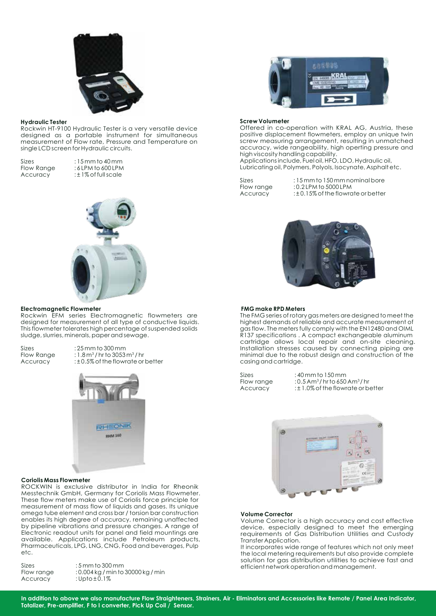

### **Hydraulic Tester**

Rockwin HT-9100 Hydraulic Tester is a very versatile device designed as a portable instrument for simultaneous measurement of Flow rate, Pressure and Temperature on single LCD screen for Hydraulic circuits.

Sizes : 15 mm to 40 mm<br>Flow Range : 6 LPM to 600 LPM Flow Range :6LPM to 600 LPM<br>Accuracy :±1% of full scale : ± 1% of full scale



## **Electromagnetic Flowmeter**

Rockwin EFM series Electromagnetic flowmeters are designed for measurement of all type of conductive liquids. This flowmeter tolerates high percentage of suspended solids sludge, slurries, minerals, paper and sewage.

Sizes  $: 25$  mm to 300 mm<br>Flow Range  $: 1.8$  m<sup>3</sup>/hr to 3053 Flow Range : 1.8 m<sup>3</sup>/hrto 3053 m<sup>3</sup>/hr<br>Accuracy :±0.5% of the flowrate or : ± 0.5% of the flowrate or better



#### **Coriolis Mass Flowmeter**

ROCKWIN is exclusive distributor in India for Rheonik Messtechnik GmbH, Germany for Coriolis Mass Flowmeter. These flow meters make use of Coriolis force principle for measurement of mass flow of liquids and gases. Its unique omega tube element and cross bar / torsion bar construction enables its high degree of accuracy, remaining unaffected by pipeline vibrations and pressure changes. A range of Electronic readout units for panel and field mountings are available. Applications include Petroleum products, Pharmaceuticals, LPG, LNG, CNG, Food and beverages, Pulp etc.

| $:5$ mm to 300 mm                  |
|------------------------------------|
| : 0.004 kg / min to 30000 kg / min |
| :Upto $\pm 0.1\%$                  |
|                                    |



#### **Screw Volumeter**

Offered in co-operation with KRAL AG, Austria, these positive displacement flowmeters, employ an unique twin screw measuring arrangement, resulting in unmatched accuracy, wide rangeability, high operting pressure and high viscosity handling capability.

Applications include, Fuel oil, HFO, LDO, Hydraulic oil, Lubricating oil, Polymers, Polyols, Isocynate, Asphalt etc.

Sizes : 15 mm to 150 mm nominal bore<br>Flow range : 0.2 LPM to 5000 LPM Flow range : 0.2 LPM to 5000 LPM<br>Accuracy : ± 0.15% of the flowrd : ± 0.15% of the flowrate or better



#### **FMG make RPD Meters**

The FMG series of rotary gas meters are designed to meet the highest demands of reliable and accurate measurement of gas flow. The meters fully comply with the EN12480 and OIML gas now, momentum, compact exchangeable aluminum cartridge allows local repair and on-site cleaning. Installation stresses caused by connecting piping are minimal due to the robust design and construction of the casing and cartridge.

| <b>Sizes</b> | $:40$ mm to $150$ mm                                   |
|--------------|--------------------------------------------------------|
| Flow range   | $: 0.5$ Am <sup>3</sup> /hr to 650 Am <sup>3</sup> /hr |
| Accuracy     | $\pm 1.0\%$ of the flowrate or be                      |

the flowrate or better



## **Volume Corrector**

Volume Corrector is a high accuracy and cost effective device, especially designed to meet the emerging requirements of Gas Distribution Utilities and Custody Transfer Application.

It incorporates wide range of features which not only meet the local metering requirements but also provide complete solution for gas distribution utilities to achieve fast and efficient network operation and management.